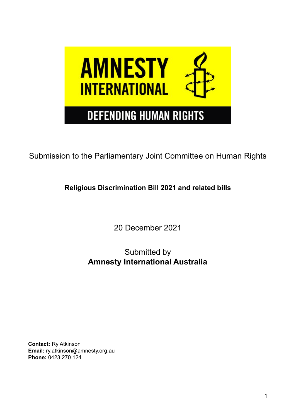

Submission to the Parliamentary Joint Committee on Human Rights

**Religious Discrimination Bill 2021 and related bills**

20 December 2021

Submitted by **Amnesty International Australia**

**Contact:** Ry Atkinson **Email:** ry.atkinson@amnesty.org.au **Phone:** 0423 270 124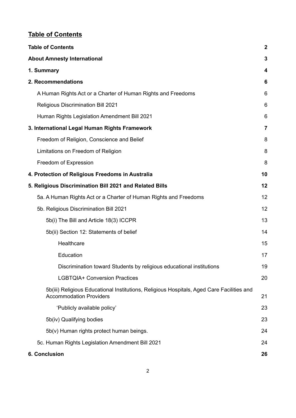# <span id="page-1-0"></span>**Table of Contents**

| <b>Table of Contents</b>                                                                                                    | $\boldsymbol{2}$ |
|-----------------------------------------------------------------------------------------------------------------------------|------------------|
| <b>About Amnesty International</b>                                                                                          | 3                |
| 1. Summary                                                                                                                  | 4                |
| 2. Recommendations                                                                                                          | 6                |
| A Human Rights Act or a Charter of Human Rights and Freedoms                                                                | 6                |
| <b>Religious Discrimination Bill 2021</b>                                                                                   | 6                |
| Human Rights Legislation Amendment Bill 2021                                                                                | 6                |
| 3. International Legal Human Rights Framework                                                                               | $\overline{7}$   |
| Freedom of Religion, Conscience and Belief                                                                                  | 8                |
| Limitations on Freedom of Religion                                                                                          | 8                |
| Freedom of Expression                                                                                                       | 8                |
| 4. Protection of Religious Freedoms in Australia                                                                            | 10               |
| 5. Religious Discrimination Bill 2021 and Related Bills                                                                     | 12               |
| 5a. A Human Rights Act or a Charter of Human Rights and Freedoms                                                            | 12               |
| 5b. Religious Discrimination Bill 2021                                                                                      | 12               |
| 5b(i) The Bill and Article 18(3) ICCPR                                                                                      | 13               |
| 5b(ii) Section 12: Statements of belief                                                                                     | 14               |
| Healthcare                                                                                                                  | 15               |
| Education                                                                                                                   | 17               |
| Discrimination toward Students by religious educational institutions                                                        | 19               |
| <b>LGBTQIA+ Conversion Practices</b>                                                                                        | 20               |
| 5b(iii) Religious Educational Institutions, Religious Hospitals, Aged Care Facilities and<br><b>Accommodation Providers</b> | 21               |
| 'Publicly available policy'                                                                                                 | 23               |
| 5b(iv) Qualifying bodies                                                                                                    | 23               |
| 5b(v) Human rights protect human beings.                                                                                    | 24               |
| 5c. Human Rights Legislation Amendment Bill 2021                                                                            | 24               |
| 6. Conclusion                                                                                                               | 26               |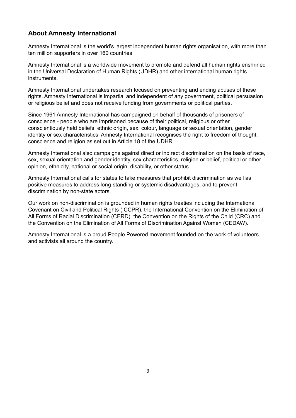## <span id="page-2-0"></span>**About Amnesty International**

Amnesty International is the world's largest independent human rights organisation, with more than ten million supporters in over 160 countries.

Amnesty International is a worldwide movement to promote and defend all human rights enshrined in the Universal Declaration of Human Rights (UDHR) and other international human rights instruments.

Amnesty International undertakes research focused on preventing and ending abuses of these rights. Amnesty International is impartial and independent of any government, political persuasion or religious belief and does not receive funding from governments or political parties.

Since 1961 Amnesty International has campaigned on behalf of thousands of prisoners of conscience - people who are imprisoned because of their political, religious or other conscientiously held beliefs, ethnic origin, sex, colour, language or sexual orientation, gender identity or sex characteristics. Amnesty International recognises the right to freedom of thought, conscience and religion as set out in Article 18 of the UDHR.

Amnesty International also campaigns against direct or indirect discrimination on the basis of race, sex, sexual orientation and gender identity, sex characteristics, religion or belief, political or other opinion, ethnicity, national or social origin, disability, or other status.

Amnesty International calls for states to take measures that prohibit discrimination as well as positive measures to address long-standing or systemic disadvantages, and to prevent discrimination by non-state actors.

Our work on non-discrimination is grounded in human rights treaties including the International Covenant on Civil and Political Rights (ICCPR), the International Convention on the Elimination of All Forms of Racial Discrimination (CERD), the Convention on the Rights of the Child (CRC) and the Convention on the Elimination of All Forms of Discrimination Against Women (CEDAW).

Amnesty International is a proud People Powered movement founded on the work of volunteers and activists all around the country.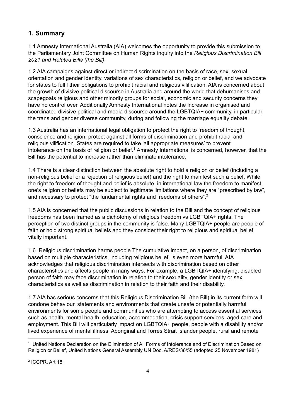## <span id="page-3-0"></span>**1. Summary**

1.1 Amnesty International Australia (AIA) welcomes the opportunity to provide this submission to the Parliamentary Joint Committee on Human Rights inquiry into the *Religious Discrimination Bill 2021 and Related Bills (the Bill)*.

1.2 AIA campaigns against direct or indirect discrimination on the basis of race, sex, sexual orientation and gender identity, variations of sex characteristics, religion or belief, and we advocate for states to fulfil their obligations to prohibit racial and religious vilification. AIA is concerned about the growth of divisive political discourse in Australia and around the world that dehumanises and scapegoats religious and other minority groups for social, economic and security concerns they have no control over. Additionally Amnesty International notes the increase in organised and coordinated divisive political and media discourse around the LGBTQIA+ community, in particular, the trans and gender diverse community, during and following the marriage equality debate.

1.3 Australia has an international legal obligation to protect the right to freedom of thought, conscience and religion, protect against all forms of discrimination and prohibit racial and religious vilification. States are required to take 'all appropriate measures' to prevent intolerance on the basis of religion or belief.<sup>1</sup> Amnesty International is concerned, however, that the Bill has the potential to increase rather than eliminate intolerance.

1.4 There is a clear distinction between the absolute right to hold a religion or belief (including a non-religious belief or a rejection of religious belief) and the right to manifest such a belief. While the right to freedom of thought and belief is absolute, in international law the freedom to manifest one's religion or beliefs may be subject to legitimate limitations where they are "prescribed by law", and necessary to protect "the fundamental rights and freedoms of others".<sup>2</sup>

1.5 AIA is concerned that the public discussions in relation to the Bill and the concept of religious freedoms has been framed as a dichotomy of religious freedom vs LGBTQIA+ rights. The perception of two distinct groups in the community is false. Many LGBTQIA+ people are people of faith or hold strong spiritual beliefs and they consider their right to religious and spiritual belief vitally important.

1.6. Religious discrimination harms people.The cumulative impact, on a person, of discrimination based on multiple characteristics, including religious belief, is even more harmful. AIA acknowledges that religious discrimination intersects with discrimination based on other characteristics and affects people in many ways. For example, a LGBTQIA+ identifying, disabled person of faith may face discrimination in relation to their sexuality, gender identity or sex characteristics as well as discrimination in relation to their faith and their disability.

1.7 AIA has serious concerns that this Religious Discrimination Bill (the Bill) in its current form will condone behaviour, statements and environments that create unsafe or potentially harmful environments for some people and communities who are attempting to access essential services such as health, mental health, education, accommodation, crisis support services, aged care and employment. This Bill will particularly impact on LGBTQIA+ people, people with a disability and/or lived experience of mental illness, Aboriginal and Torres Strait Islander people, rural and remote

2 ICCPR, Art 18.

<sup>&</sup>lt;sup>1</sup> United Nations Declaration on the Elimination of All Forms of Intolerance and of Discrimination Based on Religion or Belief, United Nations General Assembly UN Doc. A/RES/36/55 (adopted 25 November 1981)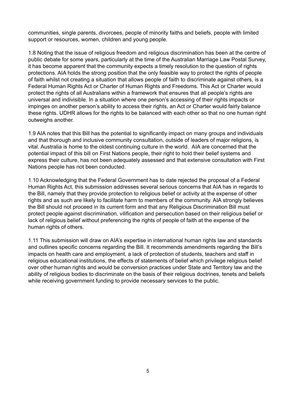communities, single parents, divorcees, people of minority faiths and beliefs, people with limited support or resources, women, children and young people.

1.8 Noting that the issue of religious freedom and religious discrimination has been at the centre of public debate for some years, particularly at the time of the Australian Marriage Law Postal Survey, it has become apparent that the community expects a timely resolution to the question of rights protections. AIA holds the strong position that the only feasible way to protect the rights of people of faith whilst not creating a situation that allows people of faith to discriminate against others, is a Federal Human Rights Act or Charter of Human Rights and Freedoms. This Act or Charter would protect the rights of all Australians within a framework that ensures that all people's rights are universal and indivisible. In a situation where one person's accessing of their rights impacts or impinges on another person's ability to access their rights, an Act or Charter would fairly balance these rights. UDHR allows for the rights to be balanced with each other so that no one human right outweighs another.

1.9 AIA notes that this Bill has the potential to significantly impact on many groups and individuals and that thorough and inclusive community consultation, outside of leaders of major religions, is vital. Australia is home to the oldest continuing culture in the world. AIA are concerned that the potential impact of this bill on First Nations people, their right to hold their belief systems and express their culture, has not been adequately assessed and that extensive consultation with First Nations people has not been conducted.

1.10 Acknowledging that the Federal Government has to date rejected the proposal of a Federal Human Rights Act, this submission addresses several serious concerns that AIA has in regards to the Bill, namely that they provide protection to religious belief or activity at the expense of other rights and as such are likely to facilitate harm to members of the community. AIA strongly believes the Bill should not proceed in its current form and that any Religious Discrimination Bill must protect people against discrimination, vilification and persecution based on their religious belief or lack of religious belief without preferencing the rights of people of faith at the expense of the human rights of others.

1.11 This submission will draw on AIA's expertise in international human rights law and standards and outlines specific concerns regarding the Bill. It recommends amendments regarding the Bill's impacts on health care and employment, a lack of protection of students, teachers and staff in religious educational institutions, the effects of statements of belief which privilege religious belief over other human rights and would be conversion practices under State and Territory law and the ability of religious bodies to discriminate on the basis of their religious doctrines, tenets and beliefs while receiving government funding to provide necessary services to the public.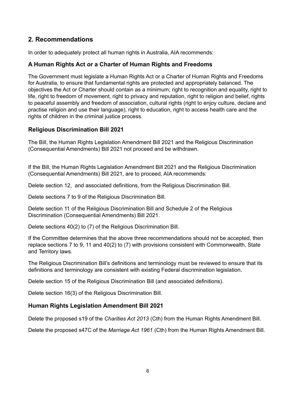## <span id="page-5-0"></span>**2. Recommendations**

In order to adequately protect all human rights in Australia, AIA recommends:

## <span id="page-5-1"></span>**A Human Rights Act or a Charter of Human Rights and Freedoms**

The Government must legislate a Human Rights Act or a Charter of Human Rights and Freedoms for Australia, to ensure that fundamental rights are protected and appropriately balanced. The objectives the Act or Charter should contain as a minimum; right to recognition and equality, right to life, right to freedom of movement, right to privacy and reputation, right to religion and belief, rights to peaceful assembly and freedom of association, cultural rights (right to enjoy culture, declare and practise religion and use their language), right to education, right to access health care and the rights of children in the criminal justice process.

## <span id="page-5-2"></span>**Religious Discrimination Bill 2021**

The Bill, the Human Rights Legislation Amendment Bill 2021 and the Religious Discrimination (Consequential Amendments) Bill 2021 not proceed and be withdrawn.

If the Bill, the Human Rights Legislation Amendment Bill 2021 and the Religious Discrimination (Consequential Amendments) Bill 2021, are to proceed, AIA recommends:

Delete section 12, and associated definitions, from the Religious Discrimination Bill.

Delete sections 7 to 9 of the Religious Discrimination Bill.

Delete section 11 of the Religious Discrimination Bill and Schedule 2 of the Religious Discrimination (Consequential Amendments) Bill 2021.

Delete sections 40(2) to (7) of the Religious Discrimination Bill.

If the Committee determines that the above three recommendations should not be accepted, then replace sections 7 to 9, 11 and 40(2) to (7) with provisions consistent with Commonwealth, State and Territory laws.

The Religious Discrimination Bill's definitions and terminology must be reviewed to ensure that its definitions and terminology are consistent with existing Federal discrimination legislation.

Delete section 15 of the Religious Discrimination Bill (and associated definitions).

Delete section 16(3) of the Religious Discrimination Bill.

### <span id="page-5-3"></span>**Human Rights Legislation Amendment Bill 2021**

Delete the proposed s19 of the *Charities Act 2013* (Cth) from the Human Rights Amendment Bill.

Delete the proposed s47C of the *Marriage Act 1961* (Cth) from the Human Rights Amendment Bill.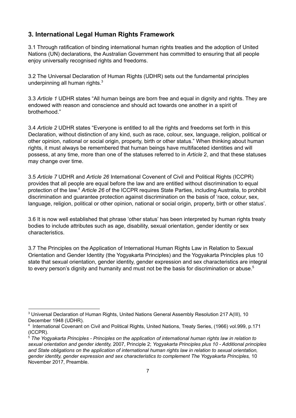## <span id="page-6-0"></span>**3. International Legal Human Rights Framework**

3.1 Through ratification of binding international human rights treaties and the adoption of United Nations (UN) declarations, the Australian Government has committed to ensuring that all people enjoy universally recognised rights and freedoms.

3.2 The Universal Declaration of Human Rights (UDHR) sets out the fundamental principles underpinning all human rights.<sup>3</sup>

3.3 *Article 1* UDHR states "All human beings are born free and equal in dignity and rights. They are endowed with reason and conscience and should act towards one another in a spirit of brotherhood."

3.4 *Article 2* UDHR states "Everyone is entitled to all the rights and freedoms set forth in this Declaration, without distinction of any kind, such as race, colour, sex, language, religion, political or other opinion, national or social origin, property, birth or other status." When thinking about human rights, it must always be remembered that human beings have multifaceted identities and will possess, at any time, more than one of the statuses referred to in *Article* 2, and that these statuses may change over time.

3.5 *Article 7* UDHR and *Article 26* International Covenent of Civil and Political Rights (ICCPR) provides that all people are equal before the law and are entitled without discrimination to equal protection of the law.<sup>4</sup> Article 26 of the ICCPR requires State Parties, including Australia, to prohibit discrimination and guarantee protection against discrimination on the basis of 'race, colour, sex, language, religion, political or other opinion, national or social origin, property, birth or other status'.

3.6 It is now well established that phrase 'other status' has been interpreted by human rights treaty bodies to include attributes such as age, disability, sexual orientation, gender identity or sex characteristics.

3.7 The Principles on the Application of International Human Rights Law in Relation to Sexual Orientation and Gender Identity (the Yogyakarta Principles) and the Yogyakarta Principles plus 10 state that sexual orientation, gender identity, gender expression and sex characteristics are integral to every person's dignity and humanity and must not be the basis for discrimination or abuse.<sup>5</sup>

<sup>&</sup>lt;sup>3</sup> Universal Declaration of Human Rights, United Nations General Assembly Resolution 217 A(III), 10 December 1948 (UDHR).

<sup>4</sup> International Covenant on Civil and Political Rights, United Nations, Treaty Series, (1966) vol.999, p.171 (ICCPR).

<sup>5</sup> *The Yogyakarta Principles - Principles on the application of international human rights law in relation to sexual orientation and gender identity,* 2007, Principle 2; *Yogyakarta Principles plus 10 - Additional principles and State obligations on the application of international human rights law in relation to sexual orientation, gender identity, gender expression and sex characteristics to complement The Yogyakarta Principles,* 10 November 2017, Preamble.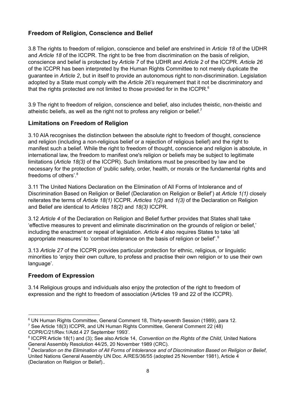### <span id="page-7-0"></span>**Freedom of Religion, Conscience and Belief**

3.8 The rights to freedom of religion, conscience and belief are enshrined in *Article 18* of the UDHR and *Article 18* of the ICCPR. The right to be free from discrimination on the basis of religion, conscience and belief is protected by *Article 7* of the UDHR and *Article 2* of the ICCPR. *Article 26* of the ICCPR has been interpreted by the Human Rights Committee to not merely duplicate the guarantee in *Article 2*, but in itself to provide an autonomous right to non-discrimination. Legislation adopted by a State must comply with the *Article 26's* requirement that it not be discriminatory and that the rights protected are not limited to those provided for in the ICCPR. $^6$ 

3.9 The right to freedom of religion, conscience and belief, also includes theistic, non-theistic and atheistic beliefs, as well as the right not to profess any religion or belief.<sup>7</sup>

#### <span id="page-7-1"></span>**Limitations on Freedom of Religion**

3.10 AIA recognises the distinction between the absolute right to freedom of thought, conscience and religion (including a non-religious belief or a rejection of religious belief) and the right to manifest such a belief. While the right to freedom of thought, conscience and religion is absolute, in international law, the freedom to manifest one's religion or beliefs may be subject to legitimate limitations (*Article 18(3)* of the ICCPR). Such limitations must be prescribed by law and be necessary for the protection of 'public safety, order, health, or morals or the fundamental rights and freedoms of others'. 8

3.11 The United Nations Declaration on the Elimination of All Forms of Intolerance and of Discrimination Based on Religion or Belief (Declaration on Religion or Belief') at *Article 1(1)* closely reiterates the terms of *Article 18(1)* ICCPR. *Articles 1(2)* and *1(3)* of the Declaration on Religion and Belief are identical to *Articles 18(2)* and *18(3)* ICCPR.

3.12 *Article 4* of the Declaration on Religion and Belief further provides that States shall take 'effective measures to prevent and eliminate discrimination on the grounds of religion or belief,' including the enactment or repeal of legislation. *Article 4* also requires States to take 'all appropriate measures' to 'combat intolerance on the basis of religion or belief'.<sup>9</sup>

3.13 *Article 27* of the ICCPR provides particular protection for ethnic, religious, or linguistic minorities to 'enjoy their own culture, to profess and practise their own religion or to use their own language'.

#### <span id="page-7-2"></span>**Freedom of Expression**

3.14 Religious groups and individuals also enjoy the protection of the right to freedom of expression and the right to freedom of association (Articles 19 and 22 of the ICCPR).

<sup>7</sup> See Article 18(3) ICCPR, and UN Human Rights Committee, General Comment 22 (48) CCPR/C/21/Rev.1/Add.4 27 September 1993'.

<sup>6</sup> UN Human Rights Committee, General Comment 18, Thirty-seventh Session (1989), para 12.

<sup>8</sup> ICCPR Article 18(1) and (3); See also Article 14, *Convention on the Rights of the Child*, United Nations General Assembly Resolution 44/25, 20 November 1989 (CRC).

<sup>&</sup>lt;sup>9</sup> Declaration on the Elimination of All Forms of Intolerance and of Discrimination Based on Religion or Belief, United Nations General Assembly UN Doc. A/RES/36/55 (adopted 25 November 1981), Article 4 (Declaration on Religion or Belief)..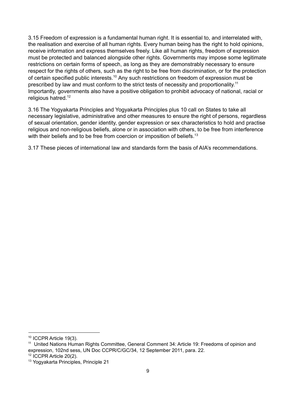3.15 Freedom of expression is a fundamental human right. It is essential to, and interrelated with, the realisation and exercise of all human rights. Every human being has the right to hold opinions, receive information and express themselves freely. Like all human rights, freedom of expression must be protected and balanced alongside other rights. Governments may impose some legitimate restrictions on certain forms of speech, as long as they are demonstrably necessary to ensure respect for the rights of others, such as the right to be free from discrimination, or for the protection of certain specified public interests.<sup>10</sup> Any such restrictions on freedom of expression must be prescribed by law and must conform to the strict tests of necessity and proportionality.<sup>11</sup> Importantly, governments also have a positive obligation to prohibit advocacy of national, racial or religious hatred. 12

3.16 The Yogyakarta Principles and Yogyakarta Principles plus 10 call on States to take all necessary legislative, administrative and other measures to ensure the right of persons, regardless of sexual orientation, gender identity, gender expression or sex characteristics to hold and practise religious and non-religious beliefs, alone or in association with others, to be free from interference with their beliefs and to be free from coercion or imposition of beliefs.<sup>13</sup>

3.17 These pieces of international law and standards form the basis of AIA's recommendations.

<sup>&</sup>lt;sup>10</sup> ICCPR Article 19(3).

<sup>&</sup>lt;sup>11</sup> United Nations Human Rights Committee, General Comment 34: Article 19: Freedoms of opinion and expression, 102nd sess, UN Doc CCPR/C/GC/34, 12 September 2011, para. 22.

<sup>&</sup>lt;sup>12</sup> ICCPR Article 20(2).

<sup>13</sup> Yogyakarta Principles, Principle 21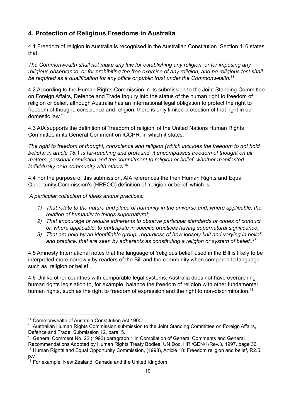## <span id="page-9-0"></span>**4. Protection of Religious Freedoms in Australia**

4.1 Freedom of religion in Australia is recognised in the Australian Constitution. Section 116 states that:

*The Commonwealth shall not make any law for establishing any religion, or for imposing any religious observance, or for prohibiting the free exercise of any religion, and no religious test shall be required as a qualification for any office or public trust under the Commonwealth.* 14

4.2 According to the Human Rights Commission in its submission to the Joint Standing Committee on Foreign Affairs, Defence and Trade Inquiry into the status of the human right to freedom of religion or belief, although Australia has an international legal obligation to protect the right to freedom of thought, conscience and religion, there is only limited protection of that right in our domestic law. 15

4.3 AIA supports the definition of 'freedom of religion' of the United Nations Human Rights Committee in its General Comment on ICCPR, in which it states:

*The right to freedom of thought, conscience and religion (which includes the freedom to not hold beliefs) in article 18.1 is far-reaching and profound; it encompasses freedom of thought on all matters, personal conviction and the commitment to religion or belief, whether manifested individually or in community with others*. 16

4.4 For the purpose of this submission, AIA references the then Human Rights and Equal Opportunity Commission's (HREOC) definition of 'religion or belief' which is:

*'A particular collection of ideas and/or practices:*

- *1) That relate to the nature and place of humanity in the universe and, where applicable, the relation of humanity to things supernatural;*
- *2) That encourage or require adherents to observe particular standards or codes of conduct or, where applicable, to participate in specific practices having supernatural significance;*
- *3) That are held by an identifiable group, regardless of how loosely knit and varying in belief and practice, that are seen by adherents as constituting a religion or system of belief'. 17*

4.5 Amnesty International notes that the language of 'religious belief' used in the Bill is likely to be interpreted more narrowly by readers of the Bill and the community when compared to language such as 'religion or belief'.

4.6 Unlike other countries with comparable legal systems, Australia does not have overarching human rights legislation to, for example, balance the freedom of religion with other fundamental human rights, such as the right to freedom of expression and the right to non-discrimination.<sup>18</sup>

<sup>14</sup> Commonwealth of Australia Constitution Act 1900

<sup>&</sup>lt;sup>15</sup> Australian Human Rights Commission submission to the Joint Standing Committee on Foreign Affairs, Defence and Trade, Submission 12, para. 5.

<sup>&</sup>lt;sup>17</sup> Human Rights and Equal Opportunity Commission, (1998), Article 18: Freedom religion and belief, R2.5, <sup>16</sup> General Comment No. 22 (1993) paragraph 1 in Compilation of General Comments and General Recommendations Adopted by Human Rights Treaty Bodies, UN Doc. HRI/GEN/1/Rev.3, 1997, page 36

<sup>&</sup>lt;sup>18</sup> For example, New Zealand, Canada and the United Kingdom p.v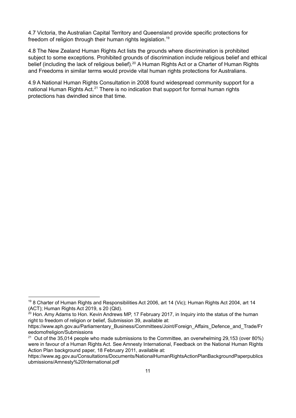4.7 Victoria, the Australian Capital Territory and Queensland provide specific protections for freedom of religion through their human rights legislation. 19

4.8 The New Zealand Human Rights Act lists the grounds where discrimination is prohibited subject to some exceptions. Prohibited grounds of discrimination include religious belief and ethical belief (including the lack of religious belief).<sup>20</sup> A Human Rights Act or a Charter of Human Rights and Freedoms in similar terms would provide vital human rights protections for Australians.

4.9 A National Human Rights Consultation in 2008 found widespread community support for a national Human Rights Act.<sup>21</sup> There is no indication that support for formal human rights protections has dwindled since that time.

<sup>19</sup> 8 Charter of Human Rights and Responsibilities Act 2006, art 14 (Vic); Human Rights Act 2004, art 14 (ACT); Human Rights Act 2019, s 20 (Qld).

 $20$  Hon. Amy Adams to Hon. Kevin Andrews MP, 17 February 2017, in Inquiry into the status of the human right to freedom of religion or belief, Submission 39, available at:

https://www.aph.gov.au/Parliamentary\_Business/Committees/Joint/Foreign\_Affairs\_Defence\_and\_Trade/Fr eedomofreligion/Submissions

 $21$  Out of the 35,014 people who made submissions to the Committee, an overwhelming 29,153 (over 80%) were in favour of a Human Rights Act. See Amnesty International, Feedback on the National Human Rights Action Plan background paper, 18 February 2011, available at:

https://www.ag.gov.au/Consultations/Documents/NationalHumanRightsActionPlanBackgroundPaperpublics ubmissions/Amnesty%20International.pdf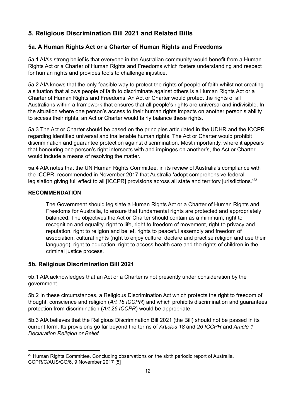## <span id="page-11-0"></span>**5. Religious Discrimination Bill 2021 and Related Bills**

## <span id="page-11-1"></span>**5a. A Human Rights Act or a Charter of Human Rights and Freedoms**

5a.1 AIA's strong belief is that everyone in the Australian community would benefit from a Human Rights Act or a Charter of Human Rights and Freedoms which fosters understanding and respect for human rights and provides tools to challenge injustice.

5a.2 AIA knows that the only feasible way to protect the rights of people of faith whilst not creating a situation that allows people of faith to discriminate against others is a Human Rights Act or a Charter of Human Rights and Freedoms. An Act or Charter would protect the rights of all Australians within a framework that ensures that all people's rights are universal and indivisible. In the situation where one person's access to their human rights impacts on another person's ability to access their rights, an Act or Charter would fairly balance these rights.

5a.3 The Act or Charter should be based on the principles articulated in the UDHR and the ICCPR regarding identified universal and inalienable human rights. The Act or Charter would prohibit discrimination and guarantee protection against discrimination. Most importantly, where it appears that honouring one person's right intersects with and impinges on another's, the Act or Charter would include a means of resolving the matter.

5a.4 AIA notes that the UN Human Rights Committee, in its review of Australia's compliance with the ICCPR, recommended in November 2017 that Australia 'adopt comprehensive federal legislation giving full effect to all [ICCPR] provisions across all state and territory jurisdictions.<sup>'22</sup>

#### **RECOMMENDATION**

The Government should legislate a Human Rights Act or a Charter of Human Rights and Freedoms for Australia, to ensure that fundamental rights are protected and appropriately balanced. The objectives the Act or Charter should contain as a minimum; right to recognition and equality, right to life, right to freedom of movement, right to privacy and reputation, right to religion and belief, rights to peaceful assembly and freedom of association, cultural rights (right to enjoy culture, declare and practise religion and use their language), right to education, right to access health care and the rights of children in the criminal justice process.

### <span id="page-11-2"></span>**5b. Religious Discrimination Bill 2021**

5b.1 AIA acknowledges that an Act or a Charter is not presently under consideration by the government.

5b.2 In these circumstances, a Religious Discrimination Act which protects the right to freedom of thought, conscience and religion (*Art 18 ICCPR*) and which prohibits discrimination and guarantees protection from discrimination (*Art 26 ICCPR*) would be appropriate.

5b.3 AIA believes that the Religious Discrimination Bill 2021 (the Bill) should not be passed in its current form. Its provisions go far beyond the terms of *Articles 18* and *26 ICCPR* and *Article 1 Declaration Religion or Belief.*

 $22$  Human Rights Committee, Concluding observations on the sixth periodic report of Australia, CCPR/C/AUS/CO/6, 9 November 2017 [5]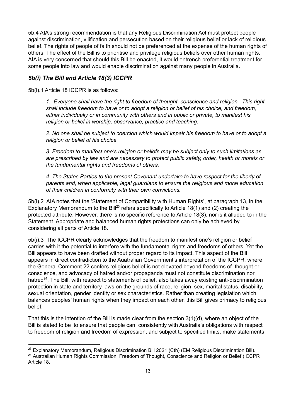5b.4 AIA's strong recommendation is that any Religious Discrimination Act must protect people against discrimination, vilification and persecution based on their religious belief or lack of religious belief. The rights of people of faith should not be preferenced at the expense of the human rights of others. The effect of the Bill is to prioritise and privilege religious beliefs over other human rights. AIA is very concerned that should this Bill be enacted, it would entrench preferential treatment for some people into law and would enable discrimination against many people in Australia.

#### <span id="page-12-0"></span>*5b(i) The Bill and Article 18(3) ICCPR*

5b(i).1 Article 18 ICCPR is as follows:

*1. Everyone shall have the right to freedom of thought, conscience and religion. This right shall include freedom to have or to adopt a religion or belief of his choice, and freedom, either individually or in community with others and in public or private, to manifest his religion or belief in worship, observance, practice and teaching.*

*2. No one shall be subject to coercion which would impair his freedom to have or to adopt a religion or belief of his choice.*

*3. Freedom to manifest one's religion or beliefs may be subject only to such limitations as are prescribed by law and are necessary to protect public safety, order, health or morals or the fundamental rights and freedoms of others.*

*4. The States Parties to the present Covenant undertake to have respect for the liberty of parents and, when applicable, legal guardians to ensure the religious and moral education of their children in conformity with their own convictions.*

5b(i).2 AIA notes that the 'Statement of Compatibility with Human Rights', at paragraph 13, in the Explanatory Memorandum to the Bill<sup>23</sup> refers specifically to Article 18(1) and (2) creating the protected attribute. However, there is no specific reference to Article 18(3), nor is it alluded to in the Statement. Appropriate and balanced human rights protections can only be achieved by considering all parts of Article 18.

5b(i).3 The ICCPR clearly acknowledges that the freedom to manifest one's religion or belief carries with it the potential to interfere with the fundamental rights and freedoms of others. Yet the Bill appears to have been drafted without proper regard to its impact. This aspect of the Bill appears in direct contradiction to the Auatralian Government's interpretation of the ICCPR, where the General Comment 22 confers religious belief is not elevated beyond freedoms of thought or conscience, and advocacy of hatred and/or propaganda must not constitute discrimination nor hatred<sup>24</sup>. The Bill, with respect to statements of belief, also takes away existing anti-discrimination protection in state and territory laws on the grounds of race, religion, sex, marital status, disability, sexual orientation, gender identity or sex characteristics. Rather than creating legislation which balances peoples' human rights when they impact on each other, this Bill gives primacy to religious belief.

That this is the intention of the Bill is made clear from the section 3(1)(d), where an object of the Bill is stated to be 'to ensure that people can, consistently with Australia's obligations with respect to freedom of religion and freedom of expression, and subject to specified limits, make statements

<sup>&</sup>lt;sup>24</sup> Australian Human Rights Commission, Freedom of Thought, Conscience and Religion or Belief (ICCPR Article 18. <sup>23</sup> Explanatory Memorandum, Religious Discrimination Bill 2021 (Cth) (EM Religious Discrimination Bill).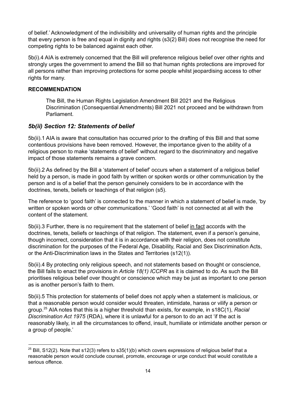of belief.' Acknowledgment of the indivisibility and universality of human rights and the principle that every person is free and equal in dignity and rights (s3(2) Bill) does not recognise the need for competing rights to be balanced against each other.

5b(i).4 AIA is extremely concerned that the Bill will preference religious belief over other rights and strongly urges the government to amend the Bill so that human rights protections are improved for all persons rather than improving protections for some people whilst jeopardising access to other rights for many.

#### **RECOMMENDATION**

The Bill, the Human Rights Legislation Amendment Bill 2021 and the Religious Discrimination (Consequential Amendments) Bill 2021 not proceed and be withdrawn from Parliament.

#### <span id="page-13-0"></span>*5b(ii) Section 12: Statements of belief*

5b(ii).1 AIA is aware that consultation has occurred prior to the drafting of this Bill and that some contentious provisions have been removed. However, the importance given to the ability of a religious person to make 'statements of belief' without regard to the discriminatory and negative impact of those statements remains a grave concern.

5b(ii).2 As defined by the Bill a 'statement of belief' occurs when a statement of a religious belief held by a person, is made in good faith by written or spoken words or other communication by the person and is of a belief that the person genuinely considers to be in accordance with the doctrines, tenets, beliefs or teachings of that religion (s5).

The reference to 'good faith' is connected to the manner in which a statement of belief is made, 'by written or spoken words or other communications.' 'Good faith' is not connected at all with the content of the statement.

5b(ii).3 Further, there is no requirement that the statement of belief in fact accords with the doctrines, tenets, beliefs or teachings of that religion. The statement, even if a person's genuine, though incorrect, consideration that it is in accordance with their religion, does not constitute discrimination for the purposes of the Federal Age, Disability, Racial and Sex Discrimination Acts, or the Anti-Discrimination laws in the States and Territories (s12(1)).

5b(ii).4 By protecting only religious speech, and not statements based on thought or conscience, the Bill fails to enact the provisions in *Article 18(1) ICCPR* as it is claimed to do. As such the Bill prioritises religious belief over thought or conscience which may be just as important to one person as is another person's faith to them.

5b(ii).5 This protection for statements of belief does not apply when a statement is malicious, or that a reasonable person would consider would threaten, intimidate, harass or vilify a person or group.<sup>25</sup> AIA notes that this is a higher threshold than exists, for example, in s18C(1), *Racial Discrimination Act 1975* (RDA), where it is unlawful for a person to do an act 'if the act is reasonably likely, in all the circumstances to offend, insult, humiliate or intimidate another person or a group of people.'

 $25$  Bill, S12(2). Note that s12(3) refers to s35(1)(b) which covers expressions of religious belief that a reasonable person would conclude counsel, promote, encourage or urge conduct that would constitute a serious offence.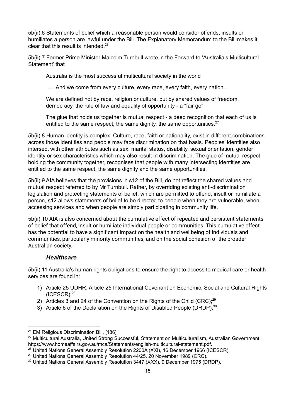5b(ii).6 Statements of belief which a reasonable person would consider offends, insults or humiliates a person are lawful under the Bill. The Explanatory Memorandum to the Bill makes it clear that this result is intended. 26

5b(ii).7 Former Prime Minister Malcolm Turnbull wrote in the Forward to 'Australia's Multicultural Statement' that

Australia is the most successful multicultural society in the world

..... And we come from every culture, every race, every faith, every nation..

We are defined not by race, religion or culture, but by shared values of freedom, democracy, the rule of law and equality of opportunity - a "fair go".

The glue that holds us together is mutual respect - a deep recognition that each of us is entitled to the same respect, the same dignity, the same opportunities. $27$ 

5b(ii).8 Human identity is complex. Culture, race, faith or nationality, exist in different combinations across those identities and people may face discrimination on that basis. Peoples' identities also intersect with other attributes such as sex, marital status, disability, sexual orientation, gender identity or sex characteristics which may also result in discrimination. The glue of mutual respect holding the community together, recognises that people with many intersecting identities are entitled to the same respect, the same dignity and the same opportunities.

5b(ii).9 AIA believes that the provisions in s12 of the Bill, do not reflect the shared values and mutual respect referred to by Mr Turnbull. Rather, by overriding existing anti-discrimination legislation and protecting statements of belief, which are permitted to offend, insult or humiliate a person, s12 allows statements of belief to be directed to people when they are vulnerable, when accessing services and when people are simply participating in community life.

5b(ii).10 AIA is also concerned about the cumulative effect of repeated and persistent statements of belief that offend, insult or humiliate individual people or communities. This cumulative effect has the potential to have a significant impact on the health and wellbeing of individuals and communities, particularly minority communities, and on the social cohesion of the broader Australian society.

#### *Healthcare*

<span id="page-14-0"></span>5b(ii).11 Australia's human rights obligations to ensure the right to access to medical care or health services are found in:

- 1) Article 25 UDHR, Article 25 International Covenant on Economic, Social and Cultural Rights  $(ICESCR);^{28}$
- 2) Articles 3 and 24 of the Convention on the Rights of the Child (CRC); $^{29}$
- 3) Article 6 of the Declaration on the Rights of Disabled People (DRDP); $30$

<sup>&</sup>lt;sup>26</sup> EM Religious Discrimination Bill, [186].

<sup>27</sup> Multicultural Australia, United Strong Successful, Statement on Multiculturalism, Australian Government, https://www.homeaffairs.gov.au/mca/Statements/english-multicultural-statement.pdf.

<sup>&</sup>lt;sup>28</sup> United Nations General Assembly Resolution 2200A (XXI), 16 December 1966 (ICESCR).

<sup>&</sup>lt;sup>29</sup> United Nations General Assembly Resolution 44/25, 20 November 1989 (CRC).

<sup>30</sup> United Nations General Assembly Resolution 3447 (XXX), 9 December 1975 (DRDP).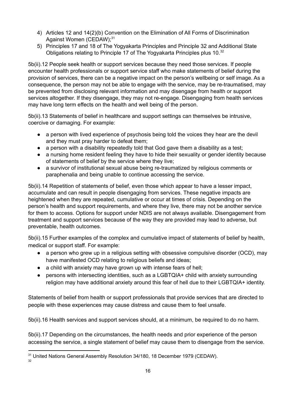- 4) Articles 12 and 14(2)(b) Convention on the Elimination of All Forms of Discrimination Against Women (CEDAW);<sup>31</sup>
- 5) Principles 17 and 18 of The Yogyakarta Principles and Principle 32 and Additional State Obligations relating to Principle 17 of The Yogyakarta Principles plus 10.<sup>32</sup>

5b(ii).12 People seek health or support services because they need those services. If people encounter health professionals or support service staff who make statements of belief during the provision of services, there can be a negative impact on the person's wellbeing or self image. As a consequence, the person may not be able to engage with the service, may be re-traumatised, may be prevented from disclosing relevant information and may disengage from health or support services altogether. If they disengage, they may not re-engage. Disengaging from health services may have long term effects on the health and well being of the person.

5b(ii).13 Statements of belief in healthcare and support settings can themselves be intrusive, coercive or damaging. For example:

- a person with lived experience of psychosis being told the voices they hear are the devil and they must pray harder to defeat them;
- a person with a disability repeatedly told that God gave them a disability as a test;
- a nursing home resident feeling they have to hide their sexuality or gender identity because of statements of belief by the service where they live;
- a survivor of institutional sexual abuse being re-traumatized by religious comments or paraphenalia and being unable to continue accessing the service.

5b(ii).14 Repetition of statements of belief, even those which appear to have a lesser impact, accumulate and can result in people disengaging from services. These negative impacts are heightened when they are repeated, cumulative or occur at times of crisis. Depending on the person's health and support requirements, and where they live, there may not be another service for them to access. Options for support under NDIS are not always available. Disengagement from treatment and support services because of the way they are provided may lead to adverse, but preventable, health outcomes.

5b(ii).15 Further examples of the complex and cumulative impact of statements of belief by health, medical or support staff. For example:

- a person who grew up in a religious setting with obsessive compulsive disorder (OCD), may have manifested OCD relating to religious beliefs and ideas;
- a child with anxiety may have grown up with intense fears of hell;
- persons with intersecting identities, such as a LGBTQIA+ child with anxiety surrounding religion may have additional anxiety around this fear of hell due to their LGBTQIA+ identity.

Statements of belief from health or support professionals that provide services that are directed to people with these experiences may cause distress and cause them to feel unsafe.

5b(ii).16 Health services and support services should, at a minimum, be required to do no harm.

5b(ii).17 Depending on the circumstances, the health needs and prior experience of the person accessing the service, a single statement of belief may cause them to disengage from the service.

<sup>32</sup> <sup>31</sup> United Nations General Assembly Resolution 34/180, 18 December 1979 (CEDAW).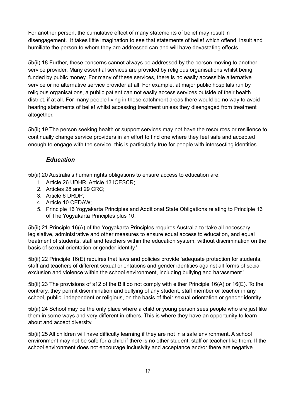For another person, the cumulative effect of many statements of belief may result in disengagement. It takes little imagination to see that statements of belief which offend, insult and humiliate the person to whom they are addressed can and will have devastating effects.

5b(ii).18 Further, these concerns cannot always be addressed by the person moving to another service provider. Many essential services are provided by religious organisations whilst being funded by public money. For many of these services, there is no easily accessible alternative service or no alternative service provider at all. For example, at major public hospitals run by religious organisations, a public patient can not easily access services outside of their health district, if at all. For many people living in these catchment areas there would be no way to avoid hearing statements of belief whilst accessing treatment unless they disengaged from treatment altogether.

5b(ii).19 The person seeking health or support services may not have the resources or resilience to continually change service providers in an effort to find one where they feel safe and accepted enough to engage with the service, this is particularly true for people with intersecting identities.

## *Education*

<span id="page-16-0"></span>5b(ii).20 Australia's human rights obligations to ensure access to education are:

- 1. Article 26 UDHR, Article 13 ICESCR;
- 2. Articles 28 and 29 CRC;
- 3. Article 6 DRDP;
- 4. Article 10 CEDAW;
- 5. Principle 16 Yogyakarta Principles and Additional State Obligations relating to Principle 16 of The Yogyakarta Principles plus 10.

5b(ii).21 Principle 16(A) of the Yogyakarta Principles requires Australia to 'take all necessary legislative, administrative and other measures to ensure equal access to education, and equal treatment of students, staff and teachers within the education system, without discrimination on the basis of sexual orientation or gender identity.'

5b(ii).22 Principle 16(E) requires that laws and policies provide 'adequate protection for students, staff and teachers of different sexual orientations and gender identities against all forms of social exclusion and violence within the school environment, including bullying and harassment.'

5b(ii).23 The provisions of s12 of the Bill do not comply with either Principle 16(A) or 16(E). To the contrary, they permit discrimination and bullying of any student, staff member or teacher in any school, public, independent or religious, on the basis of their sexual orientation or gender identity.

5b(ii).24 School may be the only place where a child or young person sees people who are just like them in some ways and very different in others. This is where they have an opportunity to learn about and accept diversity.

5b(ii).25 All children will have difficulty learning if they are not in a safe environment. A school environment may not be safe for a child if there is no other student, staff or teacher like them. If the school environment does not encourage inclusivity and acceptance and/or there are negative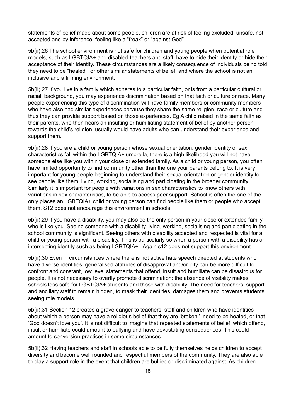statements of belief made about some people, children are at risk of feeling excluded, unsafe, not accepted and by inference, feeling like a "freak" or "against God".

5b(ii).26 The school environment is not safe for children and young people when potential role models, such as LGBTQIA+ and disabled teachers and staff, have to hide their identity or hide their acceptance of their identity. These circumstances are a likely consequence of individuals being told they need to be "healed", or other similar statements of belief, and where the school is not an inclusive and affirming environment.

5b(ii).27 If you live in a family which adheres to a particular faith, or is from a particular cultural or racial background, you may experience discrimination based on that faith or culture or race. Many people experiencing this type of discrimination will have family members or community members who have also had similar experiences because they share the same religion, race or culture and thus they can provide support based on those experiences. Eg A child raised in the same faith as their parents, who then hears an insulting or humiliating statement of belief by another person towards the child's religion, usually would have adults who can understand their experience and support them.

5b(ii).28 If you are a child or young person whose sexual orientation, gender identity or sex characteristics fall within the LGBTQIA+ umbrella, there is a high likelihood you will not have someone else like you within your close or extended family. As a child or young person, you often have limited opportunity to find community other than the one your parents belong to. It is very important for young people beginning to understand their sexual orientation or gender identity to see people like them, living, working, socialising and participating in the broader community. Similarly it is important for people with variations in sex characteristics to know others with variations in sex characteristics, to be able to access peer support. School is often the one of the only places an LGBTQIA+ child or young person can find people like them or people who accept them. S12 does not encourage this environment in schools.

5b(ii).29 If you have a disability, you may also be the only person in your close or extended family who is like you. Seeing someone with a disability living, working, socialising and participating in the school community is significant. Seeing others with disability accepted and respected is vital for a child or young person with a disability. This is particularly so when a person with a disability has an intersecting identity such as being LGBTQIA+. Again s12 does not support this environment.

5b(ii).30 Even in circumstances where there is not active hate speech directed at students who have diverse identities, generalised attitudes of disapproval and/or pity can be more difficult to confront and constant, low level statements that offend, insult and humiliate can be disastrous for people. It is not necessary to overtly promote discrimination: the absence of visibility makes schools less safe for LGBTQIA+ students and those with disability. The need for teachers, support and ancillary staff to remain hidden, to mask their identities, damages them and prevents students seeing role models.

5b(ii).31 Section 12 creates a grave danger to teachers, staff and children who have identities about which a person may have a religious belief that they are 'broken,' 'need to be healed, or that 'God doesn't love you'. It is not difficult to imagine that repeated statements of belief, which offend, insult or humiliate could amount to bullying and have devastating consequences. This could amount to conversion practices in some circumstances.

5b(ii).32 Having teachers and staff in schools able to be fully themselves helps children to accept diversity and become well rounded and respectful members of the community. They are also able to play a support role in the event that children are bullied or discriminated against. As children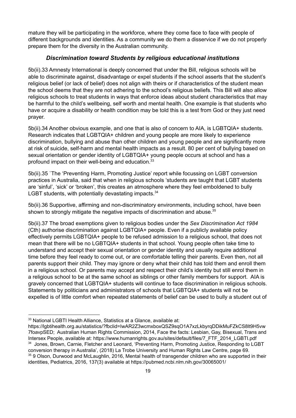mature they will be participating in the workforce, where they come face to face with people of different backgrounds and identities. As a community we do them a disservice if we do not properly prepare them for the diversity in the Australian community.

#### *Discrimination toward Students by religious educational institutions*

<span id="page-18-0"></span>5b(ii).33 Amnesty International is deeply concerned that under the Bill, religious schools will be able to discriminate against, disadvantage or expel students if the school asserts that the student's religious belief (or lack of belief) does not align with theirs or if characteristics of the student mean the school deems that they are not adhering to the school's religious beliefs. This Bill will also allow religious schools to treat students in ways that enforce ideas about student characteristics that may be harmful to the child's wellbeing, self worth and mental health. One example is that students who have or acquire a disability or health condition may be told this is a test from God or they just need prayer.

5b(ii).34 Another obvious example, and one that is also of concern to AIA, is LGBTQIA+ students. Research indicates that LGBTQIA+ children and young people are more likely to experience discrimination, bullying and abuse than other children and young people and are significantly more at risk of suicide, self-harm and mental health impacts as a result. 80 per cent of bullying based on sexual orientation or gender identity of LGBTQIA+ young people occurs at school and has a profound impact on their well-being and education. 33

5b(ii).35 `The 'Preventing Harm, Promoting Justice' report while focussing on LGBT conversion practices in Australia, said that when in religious schools 'students are taught that LGBT students are 'sinful', 'sick' or 'broken', this creates an atmosphere where they feel emboldened to bully LGBT students, with potentially devastating impacts.<sup>34</sup>

5b(ii).36 Supportive, affirming and non-discriminatory environments, including school, have been shown to strongly mitigate the negative impacts of discrimination and abuse.<sup>35</sup>

5b(ii).37 The broad exemptions given to religious bodies under the *Sex Discrimination Act 1984* (Cth) authorise discrimination against LGBTQIA+ people. Even if a publicly available policy effectively permits LGBTQIA+ people to be refused admission to a religious school, that does not mean that there will be no LGBTQIA+ students in that school. Young people often take time to understand and accept their sexual orientation or gender identity and usually require additional time before they feel ready to come out, or are comfortable telling their parents. Even then, not all parents support their child. They may ignore or deny what their child has told them and enroll them in a religious school. Or parents may accept and respect their child's identity but still enrol them in a religious school to be at the same school as siblings or other family members for support. AIA is gravely concerned that LGBTQIA+ students will continue to face discrimination in religious schools. Statements by politicians and administrators of schools that LGBTQIA+ students will not be expelled is of little comfort when repeated statements of belief can be used to bully a student out of

<sup>33</sup> National LGBTI Health Alliance, Statistics at a Glance, available at:

<sup>&</sup>lt;sup>34</sup> Jones, Brown, Carnie, Fletcher and Leonard, 'Preventing Harm, Promoting Justice, Responding to LGBT https://lgbtihealth.org.au/statistics/?fbclid=IwAR2Z3wcmxboxQSZ9sqO1A7xzLkbyrqDDikMuFZkCS8lt9H5vw 7foavpSED; Australian Human Rights Commission, 2014, Face the facts: Lesbian, Gay, Bisexual, Trans and Intersex People, available at: https://www.humanrights.gov.au/sites/default/files/7\_FTF\_2014\_LGBTI.pdf

<sup>35</sup> 9 Olson, Durwood and McLaughlin, 2016, Mental health of transgender children who are supported in their identities, Pediatrics, 2016, 137(3) available at https://pubmed.ncbi.nlm.nih.gov/30065001/ conversion therapy in Australia', (2018) La Trobe University and Human Rights Law Centre, page 69.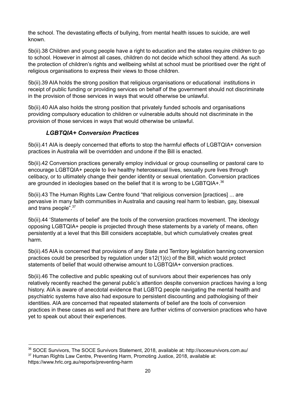the school. The devastating effects of bullying, from mental health issues to suicide, are well known.

5b(ii).38 Children and young people have a right to education and the states require children to go to school. However in almost all cases, children do not decide which school they attend. As such the protection of children's rights and wellbeing whilst at school must be prioritised over the right of religious organisations to express their views to those children.

5b(ii).39 AIA holds the strong position that religious organisations or educational institutions in receipt of public funding or providing services on behalf of the government should not discriminate in the provision of those services in ways that would otherwise be unlawful.

5b(ii).40 AIA also holds the strong position that privately funded schools and organisations providing compulsory education to children or vulnerable adults should not discriminate in the provision of those services in ways that would otherwise be unlawful.

### *LGBTQIA+ Conversion Practices*

<span id="page-19-0"></span>5b(ii).41 AIA is deeply concerned that efforts to stop the harmful effects of LGBTQIA+ conversion practices in Australia will be overridden and undone if the Bill is enacted.

5b(ii).42 Conversion practices generally employ individual or group counselling or pastoral care to encourage LGBTQIA+ people to live healthy heterosexual lives, sexually pure lives through celibacy, or to ultimately change their gender identity or sexual orientation. Conversion practices are grounded in ideologies based on the belief that it is wrong to be LGBTQIA+. $^{36}$ 

5b(ii).43 The Human Rights Law Centre found "that religious conversion [practices] ... are pervasive in many faith communities in Australia and causing real harm to lesbian, gay, bisexual and trans people".<sup>37</sup>

5b(ii).44 'Statements of belief' are the tools of the conversion practices movement. The ideology opposing LGBTQIA+ people is projected through these statements by a variety of means, often persistently at a level that this Bill considers acceptable, but which cumulatively creates great harm.

5b(ii).45 AIA is concerned that provisions of any State and Territory legislation banning conversion practices could be prescribed by regulation under s12(1)(c) of the Bill, which would protect statements of belief that would otherwise amount to LGBTQIA+ conversion practices.

5b(ii).46 The collective and public speaking out of survivors about their experiences has only relatively recently reached the general public's attention despite conversion practices having a long history. AIA is aware of anecdotal evidence that LGBTQ people navigating the mental health and psychiatric systems have also had exposure to persistent discounting and pathologising of their identities. AIA are concerned that repeated statements of belief are the tools of conversion practices in these cases as well and that there are further victims of conversion practices who have yet to speak out about their experiences.

<sup>&</sup>lt;sup>37</sup> Human Rights Law Centre, Preventing Harm, Promoting Justice, 2018, available at: https://www.hrlc.org.au/reports/preventing-harm <sup>36</sup> SOCE Survivors, The SOCE Survivors Statement, 2018, available at: http://socesurvivors.com.au/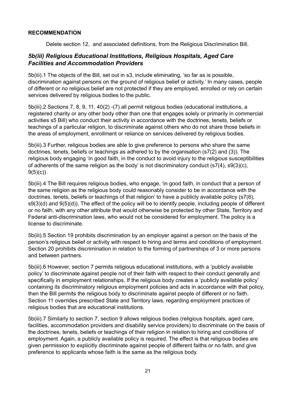#### **RECOMMENDATION**

Delete section 12, and associated definitions, from the Religious Discrimination Bill.

### <span id="page-20-0"></span>*5b(iii) Religious Educational Institutions, Religious Hospitals, Aged Care Facilities and Accommodation Providers*

5b(iii).1 The objects of the Bill, set out in s3, include eliminating, 'so far as is possible, discrimination against persons on the ground of religious belief or activity.' In many cases, people of different or no religious belief are not protected if they are employed, enrolled or rely on certain services delivered by religious bodies to the public.

5b(iii).2 Sections 7, 8, 9, 11, 40(2) -(7) all permit religious bodies (educational institutions, a registered charity or any other body other than one that engages solely or primarily in commercial activities s5 Bill) who conduct their activity in accordance with the doctrines, tenets, beliefs or teachings of a particular religion, to discriminate against others who do not share those beliefs in the areas of employment, enrollment or reliance on services delivered by religious bodies.

5b(iii).3 Further, religious bodies are able to give preference to persons who share the same doctrines, tenets, beliefs or teachings as adhered to by the organisation (s7(2) and (3)). The religious body engaging 'in good faith, in the conduct to avoid injury to the religious susceptibilities of adherents of the same religion as the body' is not discriminatory conduct (s7(4), s9(3)(c),  $9(5)(c)$ ).

5b(iii).4 The Bill requires religious bodies, who engage, 'in good faith, in conduct that a person of the same religion as the religious body could reasonably consider to be in accordance with the doctrines, tenets, beliefs or teachings of that religion' to have a publicly available policy (s7(6), s9(3)(d) and 9(5)(d)). The effect of the policy will be to identify people, including people of different or no faith, with any other attribute that would otherwise be protected by other State, Territory and Federal anti-discrimination laws, who would not be considered for employment. The policy is a license to discriminate.

5b(iii).5 Section 19 prohibits discrimination by an employer against a person on the basis of the person's religious belief or activity with respect to hiring and terms and conditions of employment. Section 20 prohibits discrimination in relation to the forming of partnerships of 3 or more persons and between partners.

5b(iii).6 However, section 7 permits religious educational institutions, with a 'publicly available policy' to discriminate against people not of their faith with respect to their conduct generally and specifically in employment relationships. If the religious body creates a 'publicly available policy' containing its discriminatory religious employment policies and acts in accordance with that policy, then the Bill permits the religious body to discriminate against people of different or no faith. Section 11 overrides prescribed State and Territory laws, regarding employment practices of religious bodies that are educational institutions.

5b(iii).7 Similarly to section 7, section 9 allows religious bodies (religious hospitals, aged care, facilities, accommodation providers and disability service providers) to discriminate on the basis of the doctrines, tenets, beliefs or teachings of their religion in relation to hiring and conditions of employment. Again, a publicly available policy is required. The effect is that religious bodies are given permission to explicitly discriminate against people of different faiths or no faith, and give preference to applicants whose faith is the same as the religious body.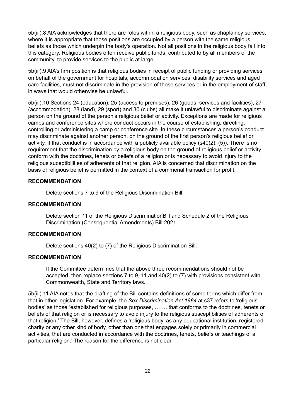5b(iii).8 AIA acknowledges that there are roles within a religious body, such as chaplaincy services, where it is appropriate that those positions are occupied by a person with the same religious beliefs as those which underpin the body's operation. Not all positions in the religious body fall into this category. Religious bodies often receive public funds, contributed to by all members of the community, to provide services to the public at large.

5b(iii).9 AIA's firm position is that religious bodies in receipt of public funding or providing services on behalf of the government for hospitals, accommodation services, disability services and aged care facilities, must not discriminate in the provision of those services or in the employment of staff, in ways that would otherwise be unlawful.

5b(iii).10 Sections 24 (education), 25 (access to premises), 26 (goods, services and facilities), 27 (accommodation), 28 (land), 29 (sport) and 30 (clubs) all make it unlawful to discriminate against a person on the ground of the person's religious belief or activity. Exceptions are made for religious camps and conference sites where conduct occurs in the course of establishing, directing, controlling or administering a camp or conference site. In these circumstances a person's conduct may discriminate against another person, on the ground of the first person's religious belief or activity, if that conduct is in accordance with a publicly available policy (s40(2), (5)). There is no requirement that the discrimination by a religious body on the ground of religious belief or activity conform with the doctrines, tenets or beliefs of a religion or is necessary to avoid injury to the religious suceptibilities of adherents of that religion. AIA is concerned that discrimination on the basis of religious belief is permitted in the context of a commerial transaction for profit.

#### **RECOMMENDATION**

Delete sections 7 to 9 of the Religious Discrimination Bill.

#### **RECOMMENDATION**

Delete section 11 of the Religious DiscriminationBill and Schedule 2 of the Religious Discrimination (Consequential Amendments) Bill 2021.

#### **RECOMMENDATION**

Delete sections 40(2) to (7) of the Religious Discrimination Bill.

#### **RECOMMENDATION**

If the Committee determines that the above three recommendations should not be accepted, then replace sections 7 to 9, 11 and 40(2) to (7) with provisions consistent with Commonwealth, State and Territory laws.

5b(iii).11 AIA notes that the drafting of the Bill contains definitions of some terms which differ from that in other legislation. For example, the *Sex Discrimination Act 1984* at s37 refers to 'religious bodies' as those 'established for religious purposes, ……. that conforms to the doctrines, tenets or beliefs of that religion or is necessary to avoid injury to the religious susceptibilities of adherents of that religion.' The Bill, however, defines a 'religious body' as any educational institution, registered charity or any other kind of body, other than one that engages solely or primarily in commercial activities, that are conducted in accordance with the doctrines, tenets, beliefs or teachings of a particular religion.' The reason for the difference is not clear.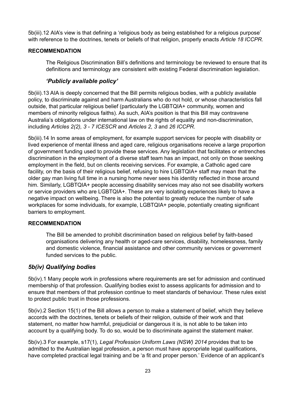5b(iii).12 AIA's view is that defining a 'religious body as being established for a religious purpose' with reference to the doctrines, tenets or beliefs of that religion, properly enacts *Article 18 ICCPR.*

#### **RECOMMENDATION**

The Religious Discrimination Bill's definitions and terminology be reviewed to ensure that its definitions and terminology are consistent with existing Federal discrimination legislation.

#### *'Publicly available policy'*

<span id="page-22-0"></span>5b(iii).13 AIA is deeply concerned that the Bill permits religious bodies, with a publicly available policy, to discriminate against and harm Australians who do not hold, or whose characteristics fall outside, that particular religious belief (particularly the LGBTQIA+ community, women and members of minority religious faiths). As such, AIA's position is that this Bill may contravene Australia's obligations under international law on the rights of equality and non-discrimination, including *Articles 2(2), 3 - 7 ICESCR* and *Articles 2, 3* and *26 ICCPR*.

5b(iii).14 In some areas of employment, for example support services for people with disability or lived experience of mental illness and aged care, religious organisations receive a large proportion of government funding used to provide these services. Any legislation that facilitates or entrenches discrimination in the employment of a diverse staff team has an impact, not only on those seeking employment in the field, but on clients receiving services. For example, a Catholic aged care facility, on the basis of their religious belief, refusing to hire LGBTQIA+ staff may mean that the older gay man living full time in a nursing home never sees his identity reflected in those around him. Similarly, LGBTQIA+ people accessing disability services may also not see disability workers or service providers who are LGBTQIA+. These are very isolating experiences likely to have a negative impact on wellbeing. There is also the potential to greatly reduce the number of safe workplaces for some individuals, for example, LGBTQIA+ people, potentially creating significant barriers to employment.

#### **RECOMMENDATION**

The Bill be amended to prohibit discrimination based on religious belief by faith-based organisations delivering any health or aged-care services, disability, homelessness, family and domestic violence, financial assistance and other community services or government funded services to the public.

#### <span id="page-22-1"></span>*5b(iv) Qualifying bodies*

5b(iv).1 Many people work in professions where requirements are set for admission and continued membership of that profession. Qualifying bodies exist to assess applicants for admission and to ensure that members of that profession continue to meet standards of behaviour. These rules exist to protect public trust in those professions.

5b(iv).2 Section 15(1) of the Bill allows a person to make a statement of belief, which they believe accords with the doctrines, tenets or beliefs of their religion, outside of their work and that statement, no matter how harmful, prejudicial or dangerous it is, is not able to be taken into account by a qualifying body. To do so, would be to discriminate against the statement maker.

5b(iv).3 For example, s17(1), *Legal Profession Uniform Laws (NSW) 2014* provides that to be admitted to the Australian legal profession, a person must have appropriate legal qualifications, have completed practical legal training and be 'a fit and proper person.' Evidence of an applicant's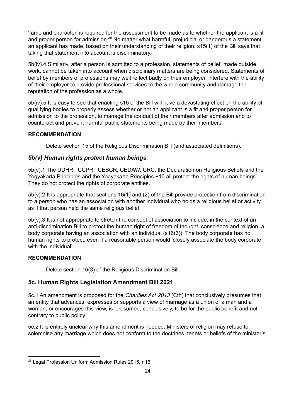'fame and character' is required for the assessment to be made as to whether the applicant is a fit and proper person for admission.<sup>38</sup> No matter what harmful, prejudicial or dangerous a statement an applicant has made, based on their understanding of their religion, s15(1) of the Bill says that taking that statement into account is discriminatory.

5b(iv).4 Similarly, after a person is admitted to a profession, statements of belief, made outside work, cannot be taken into account when disciplinary matters are being considered. Statements of belief by members of professions may well reflect badly on their employer, interfere with the ability of their employer to provide professional services to the whole community and damage the reputation of the profession as a whole.

5b(iv).5 It is easy to see that enacting s15 of the Bill will have a devastating effect on the ability of qualifying bodies to properly assess whether or not an applicant is a fit and proper person for admission to the profession, to manage the conduct of their members after admission and to counteract and prevent harmful public statements being made by their members.

#### **RECOMMENDATION**

Delete section 15 of the Religious Discrimination Bill (and associated definitions).

### <span id="page-23-0"></span>*5b(v) Human rights protect human beings.*

5b(v).1 The UDHR, ICCPR, ICESCR, CEDAW, CRC, the Declaration on Religious Beliefs and the Yogyakarta Principles and the Yogyakarta Principles +10 all protect the rights of human beings. They do not protect the rights of corporate entities.

5b(v).2 It is appropriate that sections 16(1) and (2) of the Bill provide protection from discrimination to a person who has an association with another individual who holds a religious belief or activity, as if that person held the same religious belief.

 $5b(v)$ .3 It is not appropriate to stretch the concept of association to include, in the context of an anti-discrimination Bill to protect the human right of freedom of thought, conscience and religion, a body corporate having an association with an individual (s16(3)). The body corporate has no human rights to protect, even if a reasonable person would 'closely associate the body corporate with the individual'.

#### **RECOMMENDATION**

Delete section 16(3) of the Religious Discrimination Bill.

### <span id="page-23-1"></span>**5c. Human Rights Legislation Amendment Bill 2021**

5c.1 An amendment is proposed for the *Charities Act 2013* (Cth) that conclusively presumes that an entity that advances, expresses or supports a view of marriage as a union of a man and a woman, or encourages this view, is 'presumed, conclusively, to be for the public benefit and not contrary to public policy.'

5c.2 It is entirely unclear why this amendment is needed. Ministers of religion may refuse to solemnise any marriage which does not conform to the doctrines, tenets or beliefs of the minister's

<sup>38</sup> Legal Profession Uniform Admission Rules 2015, r 16.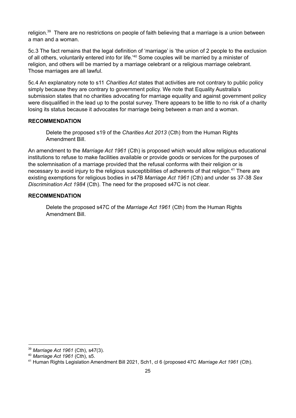religion. $^{39}$  There are no restrictions on people of faith believing that a marriage is a union between a man and a woman.

5c.3 The fact remains that the legal definition of 'marriage' is 'the union of 2 people to the exclusion of all others, voluntarily entered into for life.<sup>40</sup> Some couples will be married by a minister of religion, and others will be married by a marriage celebrant or a religious marriage celebrant. Those marriages are all lawful.

5c.4 An explanatory note to s11 *Charities Act* states that activities are not contrary to public policy simply because they are contrary to government policy. We note that Equality Australia's submission states that no charities advocating for marriage equality and against government policy were disqualified in the lead up to the postal survey. There appears to be little to no risk of a charity losing its status because it advocates for marriage being between a man and a woman.

#### **RECOMMENDATION**

Delete the proposed s19 of the *Charities Act 2013* (Cth) from the Human Rights Amendment Bill.

An amendment to the *Marriage Act 1961* (Cth) is proposed which would allow religious educational institutions to refuse to make facilities available or provide goods or services for the purposes of the solemnisation of a marriage provided that the refusal conforms with their religion or is necessary to avoid injury to the religious susceptibilities of adherents of that religion.<sup>41</sup> There are existing exemptions for religious bodies in s47B *Marriage Act 1961* (Cth) and under ss 37-38 *Sex Discrimination Act 1984* (Cth). The need for the proposed s47C is not clear.

#### **RECOMMENDATION**

Delete the proposed s47C of the *Marriage Act 1961* (Cth) from the Human Rights Amendment Bill.

<sup>39</sup> *Marriage Act 1961* (Cth), s47(3).

<sup>40</sup> *Marriage Act 1961* (Cth), s5.

<sup>41</sup> Human Rights Legislation Amendment Bill 2021, Sch1, cl 6 (proposed 47C *Marriage Act 1961* (Cth).